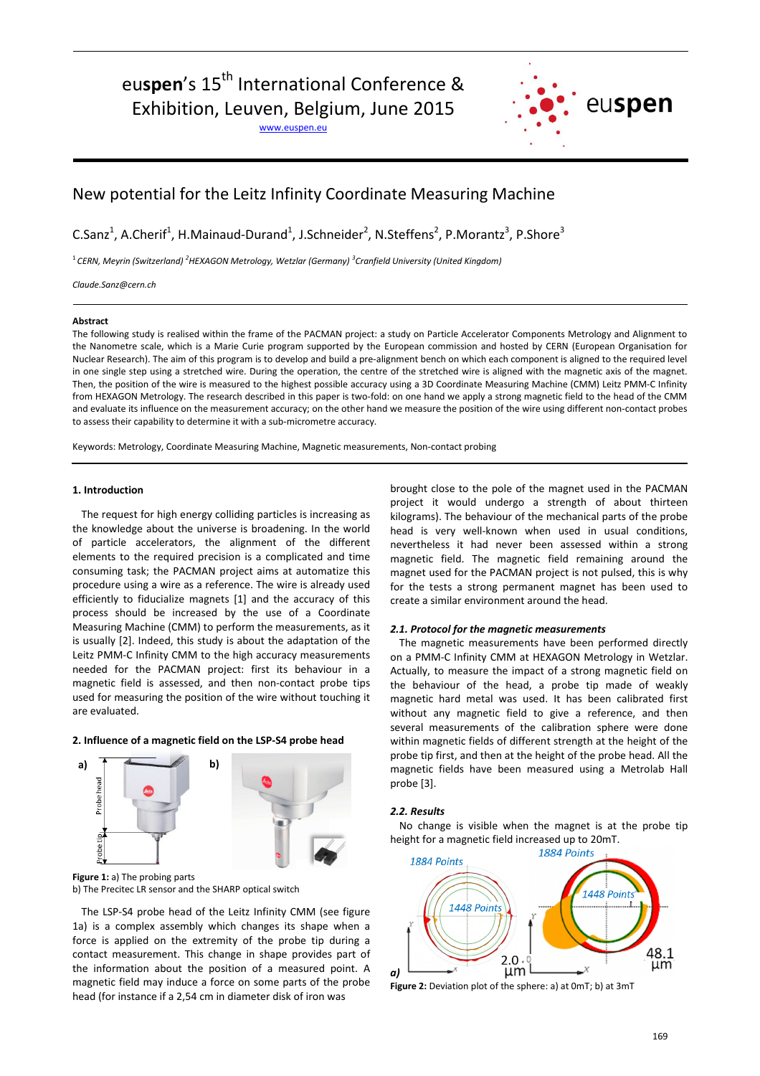# euspen's 15<sup>th</sup> International Conference &

Exhibition, Leuven, Belgium, June 2015

www.euspen.eu



# New potential for the Leitz Infinity Coordinate Measuring Machine

C.Sanz<sup>1</sup>, A.Cherif<sup>1</sup>, H.Mainaud-Durand<sup>1</sup>, J.Schneider<sup>2</sup>, N.Steffens<sup>2</sup>, P.Morantz<sup>3</sup>, P.Shore<sup>3</sup>

1 *CERN, Meyrin (Switzerland) <sup>2</sup>HEXAGON Metrology, Wetzlar (Germany) <sup>3</sup> Cranfield University (United Kingdom)*

*Claude.Sanz@cern.ch*

## **Abstract**

The following study is realised within the frame of the PACMAN project: a study on Particle Accelerator Components Metrology and Alignment to the Nanometre scale, which is a Marie Curie program supported by the European commission and hosted by CERN (European Organisation for Nuclear Research). The aim of this program is to develop and build a pre-alignment bench on which each component is aligned to the required level in one single step using a stretched wire. During the operation, the centre of the stretched wire is aligned with the magnetic axis of the magnet. Then, the position of the wire is measured to the highest possible accuracy using a 3D Coordinate Measuring Machine (CMM) Leitz PMM-C Infinity from HEXAGON Metrology. The research described in this paper is two-fold: on one hand we apply a strong magnetic field to the head of the CMM and evaluate its influence on the measurement accuracy; on the other hand we measure the position of the wire using different non-contact probes to assess their capability to determine it with a sub-micrometre accuracy.

Keywords: Metrology, Coordinate Measuring Machine, Magnetic measurements, Non-contact probing

#### **1. Introduction**

The request for high energy colliding particles is increasing as the knowledge about the universe is broadening. In the world of particle accelerators, the alignment of the different elements to the required precision is a complicated and time consuming task; the PACMAN project aims at automatize this procedure using a wire as a reference. The wire is already used efficiently to fiducialize magnets [1] and the accuracy of this process should be increased by the use of a Coordinate Measuring Machine (CMM) to perform the measurements, as it is usually [2]. Indeed, this study is about the adaptation of the Leitz PMM-C Infinity CMM to the high accuracy measurements needed for the PACMAN project: first its behaviour in a magnetic field is assessed, and then non-contact probe tips used for measuring the position of the wire without touching it are evaluated.

#### **2. Influence of a magnetic field on the LSP-S4 probe head**



**Figure 1:** a) The probing parts b) The Precitec LR sensor and the SHARP optical switch

The LSP-S4 probe head of the Leitz Infinity CMM (see figure 1a) is a complex assembly which changes its shape when a force is applied on the extremity of the probe tip during a contact measurement. This change in shape provides part of the information about the position of a measured point. A magnetic field may induce a force on some parts of the probe head (for instance if a 2,54 cm in diameter disk of iron was

brought close to the pole of the magnet used in the PACMAN project it would undergo a strength of about thirteen kilograms). The behaviour of the mechanical parts of the probe head is very well-known when used in usual conditions, nevertheless it had never been assessed within a strong magnetic field. The magnetic field remaining around the magnet used for the PACMAN project is not pulsed, this is why for the tests a strong permanent magnet has been used to create a similar environment around the head.

# 2.1. Protocol for the magnetic measurements

The magnetic measurements have been performed directly on a PMM-C Infinity CMM at HEXAGON Metrology in Wetzlar. Actually, to measure the impact of a strong magnetic field on the behaviour of the head, a probe tip made of weakly magnetic hard metal was used. It has been calibrated first without any magnetic field to give a reference, and then several measurements of the calibration sphere were done within magnetic fields of different strength at the height of the probe tip first, and then at the height of the probe head. All the magnetic fields have been measured using a Metrolab Hall probe [3].

# *2.2.R esults*

No change is visible when the magnet is at the probe tip height for a magnetic field increased up to 20mT.



**Figure 2:** Deviation plot of the sphere: a) at 0mT; b) at 3mT